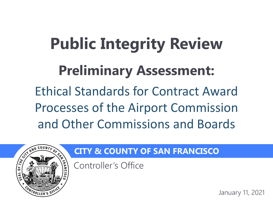# **Public Integrity Review Preliminary Assessment:**

Ethical Standards for Contract Award Processes of the Airport Commission and Other Commissions and Boards



### **CITY & COUNTY OF SAN FRANCISCO**

Controller's Office

January 11, 2021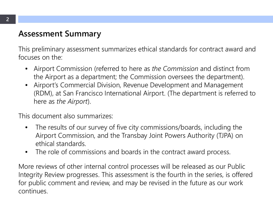### **Assessment Summary**

This preliminary assessment summarizes ethical standards for contract award and focuses on the:

- Airport Commission (referred to here as *the Commission* and distinct from the Airport as a department; the Commission oversees the department).
- Airport's Commercial Division, Revenue Development and Management (RDM), at San Francisco International Airport. (The department is referred to here as *the Airport*).

This document also summarizes:

- The results of our survey of five city commissions/boards, including the Airport Commission, and the Transbay Joint Powers Authority (TJPA) on ethical standards.
- The role of commissions and boards in the contract award process.

More reviews of other internal control processes will be released as our Public Integrity Review progresses. This assessment is the fourth in the series, is offered for public comment and review, and may be revised in the future as our work continues.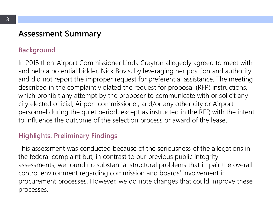### **Assessment Summary**

#### **Background**

In 2018 then-Airport Commissioner Linda Crayton allegedly agreed to meet with and help a potential bidder, Nick Bovis, by leveraging her position and authority and did not report the improper request for preferential assistance. The meeting described in the complaint violated the request for proposal (RFP) instructions, which prohibit any attempt by the proposer to communicate with or solicit any city elected official, Airport commissioner, and/or any other city or Airport personnel during the quiet period, except as instructed in the RFP, with the intent to influence the outcome of the selection process or award of the lease.

#### **Highlights: Preliminary Findings**

This assessment was conducted because of the seriousness of the allegations in the federal complaint but, in contrast to our previous public integrity assessments, we found no substantial structural problems that impair the overall control environment regarding commission and boards' involvement in procurement processes. However, we do note changes that could improve these processes.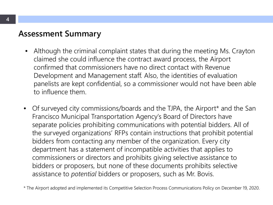### **Assessment Summary**

- Although the criminal complaint states that during the meeting Ms. Crayton claimed she could influence the contract award process, the Airport confirmed that commissioners have no direct contact with Revenue Development and Management staff. Also, the identities of evaluation panelists are kept confidential, so a commissioner would not have been able to influence them.
- Of surveyed city commissions/boards and the TJPA, the Airport\* and the San Francisco Municipal Transportation Agency's Board of Directors have separate policies prohibiting communications with potential bidders. All of the surveyed organizations' RFPs contain instructions that prohibit potential bidders from contacting any member of the organization. Every city department has a statement of incompatible activities that applies to commissioners or directors and prohibits giving selective assistance to bidders or proposers, but none of these documents prohibits selective assistance to *potential* bidders or proposers, such as Mr. Bovis.

\* The Airport adopted and implemented its Competitive Selection Process Communications Policy on December 19, 2020.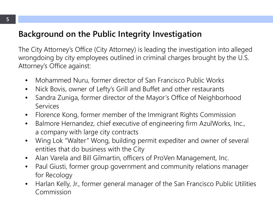### **Background on the Public Integrity Investigation**

The City Attorney's Office (City Attorney) is leading the investigation into alleged wrongdoing by city employees outlined in criminal charges brought by the U.S. Attorney's Office against:

- Mohammed Nuru, former director of San Francisco Public Works
- Nick Bovis, owner of Lefty's Grill and Buffet and other restaurants
- Sandra Zuniga, former director of the Mayor's Office of Neighborhood Services
- Florence Kong, former member of the Immigrant Rights Commission
- Balmore Hernandez, chief executive of engineering firm AzulWorks, Inc., a company with large city contracts
- Wing Lok "Walter" Wong, building permit expediter and owner of several entities that do business with the City
- Alan Varela and Bill Gilmartin, officers of ProVen Management, Inc.
- Paul Giusti, former group government and community relations manager for Recology
- Harlan Kelly, Jr., former general manager of the San Francisco Public Utilities Commission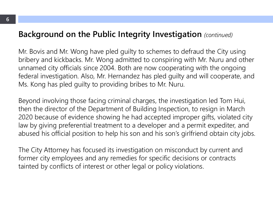#### **Background on the Public Integrity Investigation** *(continued)*

Mr. Bovis and Mr. Wong have pled guilty to schemes to defraud the City using bribery and kickbacks. Mr. Wong admitted to conspiring with Mr. Nuru and other unnamed city officials since 2004. Both are now cooperating with the ongoing federal investigation. Also, Mr. Hernandez has pled guilty and will cooperate, and Ms. Kong has pled guilty to providing bribes to Mr. Nuru.

Beyond involving those facing criminal charges, the investigation led Tom Hui, then the director of the Department of Building Inspection, to resign in March 2020 because of evidence showing he had accepted improper gifts, violated city law by giving preferential treatment to a developer and a permit expediter, and abused his official position to help his son and his son's girlfriend obtain city jobs.

The City Attorney has focused its investigation on misconduct by current and former city employees and any remedies for specific decisions or contracts tainted by conflicts of interest or other legal or policy violations.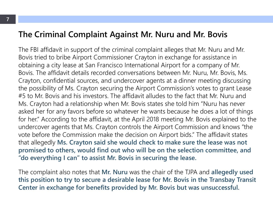#### **The Criminal Complaint Against Mr. Nuru and Mr. Bovis**

The FBI affidavit in support of the criminal complaint alleges that Mr. Nuru and Mr. Bovis tried to bribe Airport Commissioner Crayton in exchange for assistance in obtaining a city lease at San Francisco International Airport for a company of Mr. Bovis. The affidavit details recorded conversations between Mr. Nuru, Mr. Bovis, Ms. Crayton, confidential sources, and undercover agents at a dinner meeting discussing the possibility of Ms. Crayton securing the Airport Commission's votes to grant Lease #5 to Mr. Bovis and his investors. The affidavit alludes to the fact that Mr. Nuru and Ms. Crayton had a relationship when Mr. Bovis states she told him "Nuru has never asked her for any favors before so whatever he wants because he does a lot of things for her." According to the affidavit, at the April 2018 meeting Mr. Bovis explained to the undercover agents that Ms. Crayton controls the Airport Commission and knows "the vote before the Commission make the decision on Airport bids." The affidavit states that allegedly **Ms. Crayton said she would check to make sure the lease was not promised to others, would find out who will be on the selection committee, and "do everything I can" to assist Mr. Bovis in securing the lease.** 

The complaint also notes that **Mr. Nuru** was the chair of the TJPA and **allegedly used this position to try to secure a desirable lease for Mr. Bovis in the Transbay Transit Center in exchange for benefits provided by Mr. Bovis but was unsuccessful.**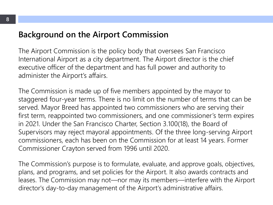### **Background on the Airport Commission**

The Airport Commission is the policy body that oversees San Francisco International Airport as a city department. The Airport director is the chief executive officer of the department and has full power and authority to administer the Airport's affairs.

The Commission is made up of five members appointed by the mayor to staggered four-year terms. There is no limit on the number of terms that can be served. Mayor Breed has appointed two commissioners who are serving their first term, reappointed two commissioners, and one commissioner's term expires in 2021. Under the San Francisco Charter, Section 3.100(18), the Board of Supervisors may reject mayoral appointments. Of the three long-serving Airport commissioners, each has been on the Commission for at least 14 years. Former Commissioner Crayton served from 1996 until 2020.

The Commission's purpose is to formulate, evaluate, and approve goals, objectives, plans, and programs, and set policies for the Airport. It also awards contracts and leases. The Commission may not—nor may its members—interfere with the Airport director's day-to-day management of the Airport's administrative affairs.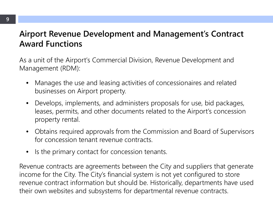### **Airport Revenue Development and Management's Contract Award Functions**

As a unit of the Airport's Commercial Division, Revenue Development and Management (RDM):

- Manages the use and leasing activities of concessionaires and related businesses on Airport property.
- Develops, implements, and administers proposals for use, bid packages, leases, permits, and other documents related to the Airport's concession property rental.
- Obtains required approvals from the Commission and Board of Supervisors for concession tenant revenue contracts.
- Is the primary contact for concession tenants.

Revenue contracts are agreements between the City and suppliers that generate income for the City. The City's financial system is not yet configured to store revenue contract information but should be. Historically, departments have used their own websites and subsystems for departmental revenue contracts.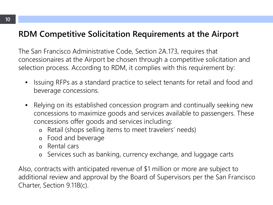### **RDM Competitive Solicitation Requirements at the Airport**

The San Francisco Administrative Code, Section 2A.173, requires that concessionaires at the Airport be chosen through a competitive solicitation and selection process. According to RDM, it complies with this requirement by:

- Issuing RFPs as a standard practice to select tenants for retail and food and beverage concessions.
- Relying on its established concession program and continually seeking new concessions to maximize goods and services available to passengers. These concessions offer goods and services including:
	- o Retail (shops selling items to meet travelers' needs)
	- o Food and beverage
	- o Rental cars
	- o Services such as banking, currency exchange, and luggage carts

Also, contracts with anticipated revenue of \$1 million or more are subject to additional review and approval by the Board of Supervisors per the San Francisco Charter, Section 9.118(c).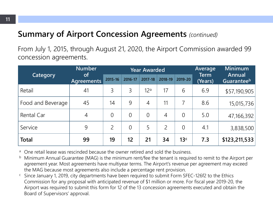### **Summary of Airport Concession Agreements** *(continued)*

From July 1, 2015, through August 21, 2020, the Airport Commission awarded 99 concession agreements.

| <b>Category</b>   | <b>Number</b><br><b>of</b><br>Agreements | <b>Year Awarded</b> |          |                 |                |                 | Average         | <b>Minimum</b>       |
|-------------------|------------------------------------------|---------------------|----------|-----------------|----------------|-----------------|-----------------|----------------------|
|                   |                                          | 2015-16             | 2016-17  | 2017-18         | 2018-19        | 2019-20         | Term<br>(Years) | Annual<br>Guaranteeb |
| Retail            | 41                                       | 3                   | 3        | 12 <sup>a</sup> | 17             | 6               | 6.9             | \$57,190,905         |
| Food and Beverage | 45                                       | 14                  | 9        | $\overline{4}$  | 11             | 7               | 8.6             | 15,015,736           |
| Rental Car        | 4                                        | $\overline{0}$      | $\Omega$ | $\overline{0}$  | 4              | $\overline{0}$  | 5.0             | 47,166,392           |
| Service           | 9                                        | $\overline{2}$      | $\Omega$ | 5               | $\overline{2}$ | $\overline{0}$  | 4.1             | 3,838,500            |
| <b>Total</b>      | 99                                       | 19                  | 12       | 21              | 34             | 13 <sup>c</sup> | 7.3             | \$123,211,533        |

<sup>a</sup> One retail lease was rescinded because the owner retired and sold the business.

- <sup>b</sup> Minimum Annual Guarantee (MAG) is the minimum rent/fee the tenant is required to remit to the Airport per agreement year. Most agreements have multiyear terms. The Airport's revenue per agreement may exceed the MAG because most agreements also include a percentage rent provision.
- c Since January 1, 2019, city departments have been required to submit Form SFEC-126f2 to the Ethics Commission for any proposal with anticipated revenue of \$1 million or more. For fiscal year 2019-20, the Airport was required to submit this form for 12 of the 13 concession agreements executed and obtain the Board of Supervisors' approval.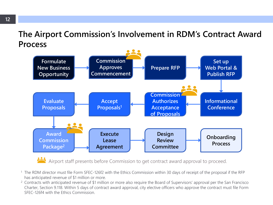### **The Airport Commission's Involvement in RDM's Contract Award Process**



Airport staff presents before Commission to get contract award approval to proceed.

- 1 The RDM director must file Form SFEC-126f2 with the Ethics Commission within 30 days of receipt of the proposal if the RFP has anticipated revenue of \$1 million or more.
- <sup>2</sup> Contracts with anticipated revenue of \$1 million or more also require the Board of Supervisors' approval per the San Francisco Charter, Section 9.118. Within 5 days of contract award approval, city elective officers who approve the contract must file Form SFEC-126f4 with the Ethics Commission.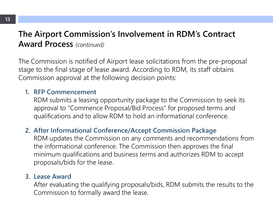### **The Airport Commission's Involvement in RDM's Contract Award Process** *(continued)*

The Commission is notified of Airport lease solicitations from the pre-proposal stage to the final stage of lease award. According to RDM, its staff obtains Commission approval at the following decision points:

#### **1. RFP Commencement**

RDM submits a leasing opportunity package to the Commission to seek its approval to "Commence Proposal/Bid Process" for proposed terms and qualifications and to allow RDM to hold an informational conference.

#### **2. After Informational Conference/Accept Commission Package**

RDM updates the Commission on any comments and recommendations from the informational conference. The Commission then approves the final minimum qualifications and business terms and authorizes RDM to accept proposals/bids for the lease.

#### **3. Lease Award**

After evaluating the qualifying proposals/bids, RDM submits the results to the Commission to formally award the lease.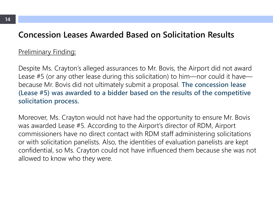#### **Concession Leases Awarded Based on Solicitation Results**

#### Preliminary Finding:

Despite Ms. Crayton's alleged assurances to Mr. Bovis, the Airport did not award Lease #5 (or any other lease during this solicitation) to him—nor could it have because Mr. Bovis did not ultimately submit a proposal. **The concession lease (Lease #5) was awarded to a bidder based on the results of the competitive solicitation process.**

Moreover, Ms. Crayton would not have had the opportunity to ensure Mr. Bovis was awarded Lease #5. According to the Airport's director of RDM, Airport commissioners have no direct contact with RDM staff administering solicitations or with solicitation panelists. Also, the identities of evaluation panelists are kept confidential, so Ms. Crayton could not have influenced them because she was not allowed to know who they were.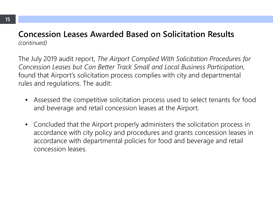#### **Concession Leases Awarded Based on Solicitation Results** *(continued)*

The July 2019 audit report, *The Airport Complied With Solicitation Procedures for Concession Leases but Can Better Track Small and Local Business Participation,* found that Airport's solicitation process complies with city and departmental rules and regulations. The audit:

- Assessed the competitive solicitation process used to select tenants for food and beverage and retail concession leases at the Airport.
- Concluded that the Airport properly administers the solicitation process in accordance with city policy and procedures and grants concession leases in accordance with departmental policies for food and beverage and retail concession leases.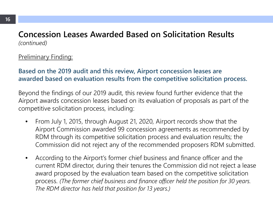#### **Concession Leases Awarded Based on Solicitation Results**  *(continued)*

#### **Preliminary Finding:**

#### **Based on the 2019 audit and this review, Airport concession leases are awarded based on evaluation results from the competitive solicitation process.**

Beyond the findings of our 2019 audit, this review found further evidence that the Airport awards concession leases based on its evaluation of proposals as part of the competitive solicitation process, including:

- From July 1, 2015, through August 21, 2020, Airport records show that the Airport Commission awarded 99 concession agreements as recommended by RDM through its competitive solicitation process and evaluation results; the Commission did not reject any of the recommended proposers RDM submitted.
- According to the Airport's former chief business and finance officer and the current RDM director, during their tenures the Commission did not reject a lease award proposed by the evaluation team based on the competitive solicitation process. *(The former chief business and finance officer held the position for 30 years. The RDM director has held that position for 13 years.)*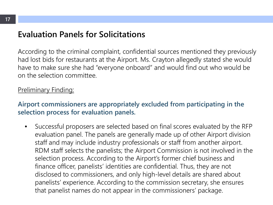### **Evaluation Panels for Solicitations**

According to the criminal complaint, confidential sources mentioned they previously had lost bids for restaurants at the Airport. Ms. Crayton allegedly stated she would have to make sure she had "everyone onboard" and would find out who would be on the selection committee.

#### **Preliminary Finding:**

#### **Airport commissioners are appropriately excluded from participating in the selection process for evaluation panels.**

• Successful proposers are selected based on final scores evaluated by the RFP evaluation panel. The panels are generally made up of other Airport division staff and may include industry professionals or staff from another airport. RDM staff selects the panelists; the Airport Commission is not involved in the selection process. According to the Airport's former chief business and finance officer, panelists' identities are confidential. Thus, they are not disclosed to commissioners, and only high-level details are shared about panelists' experience. According to the commission secretary, she ensures that panelist names do not appear in the commissioners' package.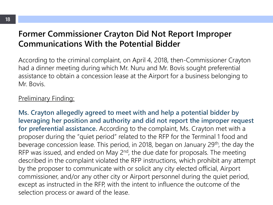### **Former Commissioner Crayton Did Not Report Improper Communications With the Potential Bidder**

According to the criminal complaint, on April 4, 2018, then-Commissioner Crayton had a dinner meeting during which Mr. Nuru and Mr. Bovis sought preferential assistance to obtain a concession lease at the Airport for a business belonging to Mr. Bovis.

#### Preliminary Finding:

**Ms. Crayton allegedly agreed to meet with and help a potential bidder by leveraging her position and authority and did not report the improper request for preferential assistance.** According to the complaint, Ms. Crayton met with a proposer during the "quiet period" related to the RFP for the Terminal 1 food and beverage concession lease. This period, in 2018, began on January 29<sup>th</sup>, the day the RFP was issued, and ended on May 2<sup>nd</sup>, the due date for proposals. The meeting described in the complaint violated the RFP instructions, which prohibit any attempt by the proposer to communicate with or solicit any city elected official, Airport commissioner, and/or any other city or Airport personnel during the quiet period, except as instructed in the RFP, with the intent to influence the outcome of the selection process or award of the lease.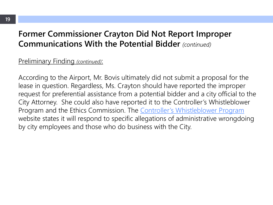### **Former Commissioner Crayton Did Not Report Improper Communications With the Potential Bidder** *(continued)*

#### Preliminary Finding *(continued)*:

According to the Airport, Mr. Bovis ultimately did not submit a proposal for the lease in question. Regardless, Ms. Crayton should have reported the improper request for preferential assistance from a potential bidder and a city official to the City Attorney. She could also have reported it to the Controller's Whistleblower Program and the Ethics Commission. The [Controller's Whistleblower Program](https://sfcontroller.org/whistleblower-program) website states it will respond to specific allegations of administrative wrongdoing by city employees and those who do business with the City.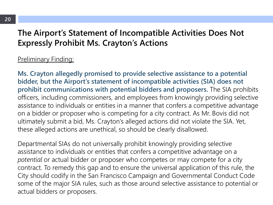### **The Airport's Statement of Incompatible Activities Does Not Expressly Prohibit Ms. Crayton's Actions**

#### Preliminary Finding:

**Ms. Crayton allegedly promised to provide selective assistance to a potential bidder, but the Airport's statement of incompatible activities (SIA) does not prohibit communications with potential bidders and proposers.** The SIA prohibits officers, including commissioners, and employees from knowingly providing selective assistance to individuals or entities in a manner that confers a competitive advantage on a bidder or proposer who is competing for a city contract. As Mr. Bovis did not ultimately submit a bid, Ms. Crayton's alleged actions did not violate the SIA. Yet, these alleged actions are unethical, so should be clearly disallowed.

Departmental SIAs do not universally prohibit knowingly providing selective assistance to individuals or entities that confers a competitive advantage on a *potential* or actual bidder or proposer who competes or may compete for a city contract. To remedy this gap and to ensure the universal application of this rule, the City should codify in the San Francisco Campaign and Governmental Conduct Code some of the major SIA rules, such as those around selective assistance to potential or actual bidders or proposers.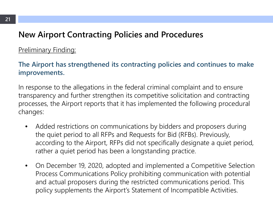### **New Airport Contracting Policies and Procedures**

#### Preliminary Finding:

#### **The Airport has strengthened its contracting policies and continues to make improvements.**

In response to the allegations in the federal criminal complaint and to ensure transparency and further strengthen its competitive solicitation and contracting processes, the Airport reports that it has implemented the following procedural changes:

- Added restrictions on communications by bidders and proposers during the quiet period to all RFPs and Requests for Bid (RFBs). Previously, according to the Airport, RFPs did not specifically designate a quiet period, rather a quiet period has been a longstanding practice.
- On December 19, 2020, adopted and implemented a Competitive Selection Process Communications Policy prohibiting communication with potential and actual proposers during the restricted communications period. This policy supplements the Airport's Statement of Incompatible Activities.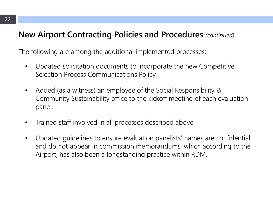#### **New Airport Contracting Policies and Procedures** *(continued)*

The following are among the additional implemented processes:

- Updated solicitation documents to incorporate the new Competitive Selection Process Communications Policy.
- Added (as a witness) an employee of the Social Responsibility & Community Sustainability office to the kickoff meeting of each evaluation panel.
- Trained staff involved in all processes described above.
- Updated guidelines to ensure evaluation panelists' names are confidential and do not appear in commission memorandums, which according to the Airport, has also been a longstanding practice within RDM.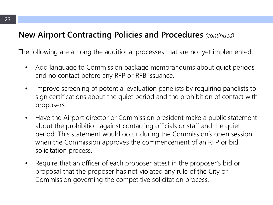### **New Airport Contracting Policies and Procedures** *(continued)*

The following are among the additional processes that are not yet implemented:

- Add language to Commission package memorandums about quiet periods and no contact before any RFP or RFB issuance.
- Improve screening of potential evaluation panelists by requiring panelists to sign certifications about the quiet period and the prohibition of contact with proposers.
- Have the Airport director or Commission president make a public statement about the prohibition against contacting officials or staff and the quiet period. This statement would occur during the Commission's open session when the Commission approves the commencement of an RFP or bid solicitation process.
- Require that an officer of each proposer attest in the proposer's bid or proposal that the proposer has not violated any rule of the City or Commission governing the competitive solicitation process.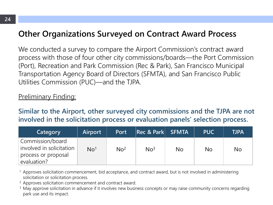### **Other Organizations Surveyed on Contract Award Process**

We conducted a survey to compare the Airport Commission's contract award process with those of four other city commissions/boards—the Port Commission (Port), Recreation and Park Commission (Rec & Park), San Francisco Municipal Transportation Agency Board of Directors (SFMTA), and San Francisco Public Utilities Commission (PUC)—and the TJPA.

#### **Preliminary Finding:**

**Similar to the Airport, other surveyed city commissions and the TJPA are not involved in the solicitation process or evaluation panels' selection process.**

| Category                                                                           | <b>Airport</b>  | <b>Port</b>     | Rec & Park SFMTA |    | <b>PUC</b> | <b>TJPA</b>    |
|------------------------------------------------------------------------------------|-----------------|-----------------|------------------|----|------------|----------------|
| Commission/board<br>involved in solicitation<br>process or proposal<br>evaluation? | No <sup>1</sup> | No <sup>2</sup> | No <sup>3</sup>  | No | No         | N <sub>o</sub> |

<sup>1</sup> Approves solicitation commencement, bid acceptance, and contract award, but is not involved in administering solicitation or solicitation process.

<sup>2</sup> Approves solicitation commencement and contract award.

<sup>3</sup> May approve solicitation in advance if it involves new business concepts or may raise community concerns regarding park use and its impact.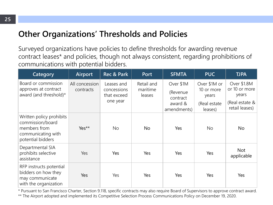### **Other Organizations' Thresholds and Policies**

Surveyed organizations have policies to define thresholds for awarding revenue contract leases\* and policies, though not always consistent, regarding prohibitions of communications with potential bidders.

| Category                                                                                                | Airport                     | <b>Rec &amp; Park</b>                                | Port                             | <b>SFMTA</b>                                                 | <b>PUC</b>                                                     | <b>TJPA</b>                                                               |
|---------------------------------------------------------------------------------------------------------|-----------------------------|------------------------------------------------------|----------------------------------|--------------------------------------------------------------|----------------------------------------------------------------|---------------------------------------------------------------------------|
| Board or commission<br>approves at contract<br>award (and threshold)*                                   | All concession<br>contracts | Leases and<br>concessions<br>that exceed<br>one year | Retail and<br>maritime<br>leases | Over \$1M<br>(Revenue)<br>contract<br>award &<br>amendments) | Over \$1M or<br>10 or more<br>years<br>(Real estate<br>leases) | Over \$1.8M<br>or 10 or more<br>years<br>(Real estate &<br>retail leases) |
| Written policy prohibits<br>commission/board<br>members from<br>communicating with<br>potential bidders | Yes**                       | <b>No</b>                                            | <b>No</b>                        | Yes                                                          | <b>No</b>                                                      | <b>No</b>                                                                 |
| Departmental SIA<br>prohibits selective<br>assistance                                                   | Yes                         | Yes                                                  | Yes                              | Yes                                                          | Yes                                                            | <b>Not</b><br>applicable                                                  |
| RFP instructs potential<br>bidders on how they<br>may communicate<br>with the organization              | Yes                         | Yes                                                  | Yes                              | Yes                                                          | Yes                                                            | Yes                                                                       |

\* Pursuant to San Francisco Charter, Section 9.118, specific contracts may also require Board of Supervisors to approve contract award. \*\* The Airport adopted and implemented its Competitive Selection Process Communications Policy on December 19, 2020.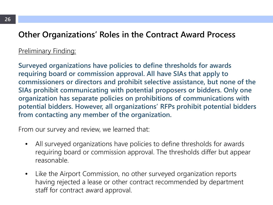### **Other Organizations' Roles in the Contract Award Process**

#### Preliminary Finding:

**Surveyed organizations have policies to define thresholds for awards requiring board or commission approval. All have SIAs that apply to commissioners or directors and prohibit selective assistance, but none of the SIAs prohibit communicating with potential proposers or bidders. Only one organization has separate policies on prohibitions of communications with potential bidders. However, all organizations' RFPs prohibit potential bidders from contacting any member of the organization.**

From our survey and review, we learned that:

- All surveyed organizations have policies to define thresholds for awards requiring board or commission approval. The thresholds differ but appear reasonable.
- Like the Airport Commission, no other surveyed organization reports having rejected a lease or other contract recommended by department staff for contract award approval.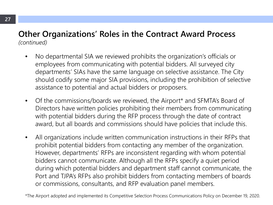#### **Other Organizations' Roles in the Contract Award Process** *(continued)*

- No departmental SIA we reviewed prohibits the organization's officials or employees from communicating with potential bidders. All surveyed city departments' SIAs have the same language on selective assistance. The City should codify some major SIA provisions, including the prohibition of selective assistance to potential and actual bidders or proposers.
- Of the commissions/boards we reviewed, the Airport\* and SFMTA's Board of Directors have written policies prohibiting their members from communicating with potential bidders during the RFP process through the date of contract award, but all boards and commissions should have policies that include this.
- All organizations include written communication instructions in their RFPs that prohibit potential bidders from contacting any member of the organization. However, departments' RFPs are inconsistent regarding with whom potential bidders cannot communicate. Although all the RFPs specify a quiet period during which potential bidders and department staff cannot communicate, the Port and TJPA's RFPs also prohibit bidders from contacting members of boards or commissions, consultants, and RFP evaluation panel members.

\*The Airport adopted and implemented its Competitive Selection Process Communications Policy on December 19, 2020.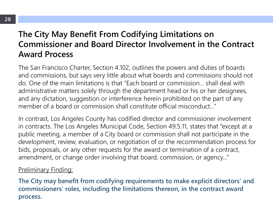### **The City May Benefit From Codifying Limitations on Commissioner and Board Director Involvement in the Contract Award Process**

The San Francisco Charter, Section 4.102, outlines the powers and duties of boards and commissions, but says very little about what boards and commissions should not do. One of the main limitations is that "Each board or commission… shall deal with administrative matters solely through the department head or his or her designees, and any dictation, suggestion or interference herein prohibited on the part of any member of a board or commission shall constitute official misconduct…"

In contrast, Los Angeles County has codified director and commissioner involvement in contracts. The Los Angeles Municipal Code, Section 49.5.11, states that "except at a public meeting, a member of a City board or commission shall not participate in the development, review, evaluation, or negotiation of or the recommendation process for bids, proposals, or any other requests for the award or termination of a contract, amendment, or change order involving that board, commission, or agency…"

#### **Preliminary Finding:**

**The City may benefit from codifying requirements to make explicit directors' and commissioners' roles, including the limitations thereon, in the contract award process.**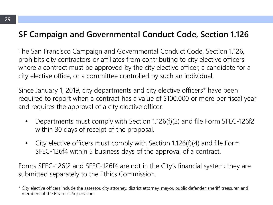### **SF Campaign and Governmental Conduct Code, Section 1.126**

The San Francisco Campaign and Governmental Conduct Code, Section 1.126, prohibits city contractors or affiliates from contributing to city elective officers where a contract must be approved by the city elective officer, a candidate for a city elective office, or a committee controlled by such an individual.

Since January 1, 2019, city departments and city elective officers\* have been required to report when a contract has a value of \$100,000 or more per fiscal year and requires the approval of a city elective officer.

- Departments must comply with Section 1.126(f)(2) and file Form SFEC-126f2 within 30 days of receipt of the proposal.
- City elective officers must comply with Section 1.126(f)(4) and file Form SFEC-126f4 within 5 business days of the approval of a contract.

Forms SFEC-126f2 and SFEC-126f4 are not in the City's financial system; they are submitted separately to the Ethics Commission.

<sup>\*</sup> City elective officers include the assessor, city attorney, district attorney, mayor, public defender, sheriff, treasurer, and members of the Board of Supervisors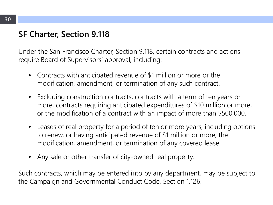### **SF Charter, Section 9.118**

Under the San Francisco Charter, Section 9.118, certain contracts and actions require Board of Supervisors' approval, including:

- Contracts with anticipated revenue of \$1 million or more or the modification, amendment, or termination of any such contract.
- Excluding construction contracts, contracts with a term of ten years or more, contracts requiring anticipated expenditures of \$10 million or more, or the modification of a contract with an impact of more than \$500,000.
- Leases of real property for a period of ten or more years, including options to renew, or having anticipated revenue of \$1 million or more; the modification, amendment, or termination of any covered lease.
- Any sale or other transfer of city-owned real property.

Such contracts, which may be entered into by any department, may be subject to the Campaign and Governmental Conduct Code, Section 1.126.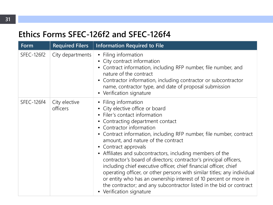### **Ethics Forms SFEC-126f2 and SFEC-126f4**

| Form       | <b>Required Filers</b>    | <b>Information Required to File</b>                                                                                                                                                                                                                                                                                                                                                                                                                                                                                                                                                                                                                                                                                                                       |
|------------|---------------------------|-----------------------------------------------------------------------------------------------------------------------------------------------------------------------------------------------------------------------------------------------------------------------------------------------------------------------------------------------------------------------------------------------------------------------------------------------------------------------------------------------------------------------------------------------------------------------------------------------------------------------------------------------------------------------------------------------------------------------------------------------------------|
| SFEC-126f2 | City departments          | • Filing information<br>• City contract information<br>• Contract information, including RFP number, file number, and<br>nature of the contract<br>Contractor information, including contractor or subcontractor<br>name, contractor type, and date of proposal submission<br>• Verification signature                                                                                                                                                                                                                                                                                                                                                                                                                                                    |
| SFEC-126f4 | City elective<br>officers | Filing information<br>• City elective office or board<br>Filer's contact information<br>Contracting department contact<br>Contractor information<br>Contract information, including RFP number, file number, contract<br>$\bullet$<br>amount, and nature of the contract<br>• Contract approvals<br>• Affiliates and subcontractors, including members of the<br>contractor's board of directors; contractor's principal officers,<br>including chief executive officer, chief financial officer, chief<br>operating officer, or other persons with similar titles; any individual<br>or entity who has an ownership interest of 10 percent or more in<br>the contractor; and any subcontractor listed in the bid or contract<br>• Verification signature |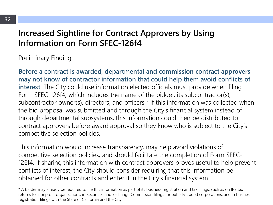### **Increased Sightline for Contract Approvers by Using Information on Form SFEC-126f4**

#### Preliminary Finding:

**Before a contract is awarded, departmental and commission contract approvers may not know of contractor information that could help them avoid conflicts of interest**. The City could use information elected officials must provide when filing Form SFEC-126f4, which includes the name of the bidder, its subcontractor(s), subcontractor owner(s), directors, and officers.\* If this information was collected when the bid proposal was submitted and through the City's financial system instead of through departmental subsystems, this information could then be distributed to contract approvers before award approval so they know who is subject to the City's competitive selection policies.

This information would increase transparency, may help avoid violations of competitive selection policies, and should facilitate the completion of Form SFEC-126f4. If sharing this information with contract approvers proves useful to help prevent conflicts of interest, the City should consider requiring that this information be obtained for other contracts and enter it in the City's financial system.

<sup>\*</sup> A bidder may already be required to file this information as part of its business registration and tax filings, such as on IRS tax returns for nonprofit organizations, in Securities and Exchange Commission filings for publicly traded corporations, and in business registration filings with the State of California and the City.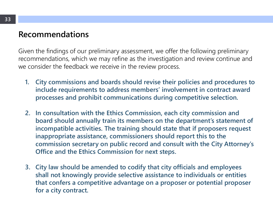### **Recommendations**

Given the findings of our preliminary assessment, we offer the following preliminary recommendations, which we may refine as the investigation and review continue and we consider the feedback we receive in the review process.

- **1. City commissions and boards should revise their policies and procedures to include requirements to address members' involvement in contract award processes and prohibit communications during competitive selection.**
- **2. In consultation with the Ethics Commission, each city commission and board should annually train its members on the department's statement of incompatible activities. The training should state that if proposers request inappropriate assistance, commissioners should report this to the commission secretary on public record and consult with the City Attorney's Office and the Ethics Commission for next steps.**
- **3. City law should be amended to codify that city officials and employees shall not knowingly provide selective assistance to individuals or entities that confers a competitive advantage on a proposer or potential proposer for a city contract.**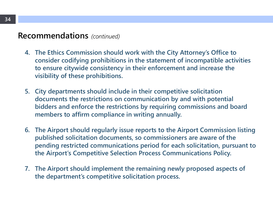#### **Recommendations** *(continued)*

- **4. The Ethics Commission should work with the City Attorney's Office to consider codifying prohibitions in the statement of incompatible activities to ensure citywide consistency in their enforcement and increase the visibility of these prohibitions.**
- **5. City departments should include in their competitive solicitation documents the restrictions on communication by and with potential bidders and enforce the restrictions by requiring commissions and board members to affirm compliance in writing annually.**
- **6. The Airport should regularly issue reports to the Airport Commission listing published solicitation documents, so commissioners are aware of the pending restricted communications period for each solicitation, pursuant to the Airport's Competitive Selection Process Communications Policy.**
- **7. The Airport should implement the remaining newly proposed aspects of the department's competitive solicitation process.**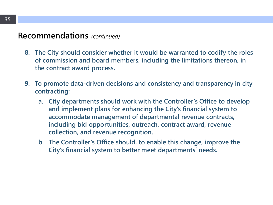#### **Recommendations** *(continued)*

- **8. The City should consider whether it would be warranted to codify the roles of commission and board members, including the limitations thereon, in the contract award process.**
- **9. To promote data-driven decisions and consistency and transparency in city contracting:**
	- **a. City departments should work with the Controller's Office to develop and implement plans for enhancing the City's financial system to accommodate management of departmental revenue contracts, including bid opportunities, outreach, contract award, revenue collection, and revenue recognition.**
	- **b. The Controller's Office should, to enable this change, improve the City's financial system to better meet departments' needs.**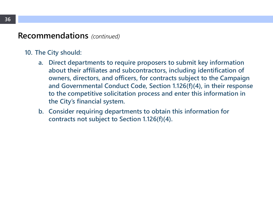#### **Recommendations** *(continued)*

#### **10. The City should:**

- **a. Direct departments to require proposers to submit key information about their affiliates and subcontractors, including identification of owners, directors, and officers, for contracts subject to the Campaign and Governmental Conduct Code, Section 1.126(f)(4), in their response to the competitive solicitation process and enter this information in the City's financial system.**
- **b. Consider requiring departments to obtain this information for contracts not subject to Section 1.126(f)(4).**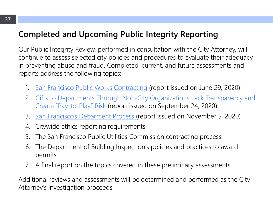### **Completed and Upcoming Public Integrity Reporting**

Our Public Integrity Review, performed in consultation with the City Attorney, will continue to assess selected city policies and procedures to evaluate their adequacy in preventing abuse and fraud. Completed, current, and future assessments and reports address the following topics:

- 1. [San Francisco Public Works Contracting](http://openbook.sfgov.org/webreports/details3.aspx?id=2843) (report issued on June 29, 2020)
- 2. [Gifts to Departments Through Non-City Organizations Lack Transparency and](http://openbook.sfgov.org/webreports/details3.aspx?id=2887) Create "Pay-to-Play" Risk (report issued on September 24, 2020)
- 3. [San Francisco's Debarment Process \(](http://openbook.sfgov.org/webreports/details3.aspx?id=2908)report issued on November 5, 2020)
- 4. Citywide ethics reporting requirements
- 5. The San Francisco Public Utilities Commission contracting process
- 6. The Department of Building Inspection's policies and practices to award permits
- 7. A final report on the topics covered in these preliminary assessments

Additional reviews and assessments will be determined and performed as the City Attorney's investigation proceeds.